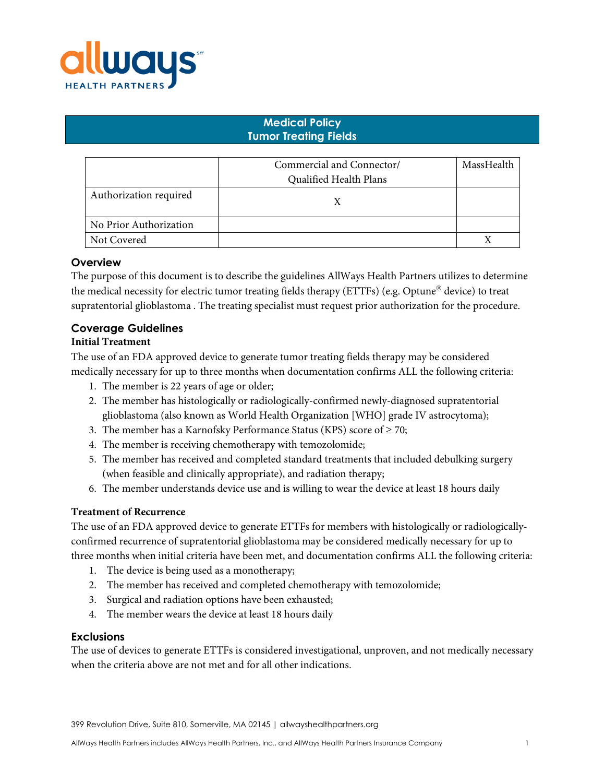

# **Medical Policy Tumor Treating Fields**

|                        | Commercial and Connector/<br>Qualified Health Plans | MassHealth |
|------------------------|-----------------------------------------------------|------------|
| Authorization required |                                                     |            |
| No Prior Authorization |                                                     |            |
| Not Covered            |                                                     |            |

# **Overview**

The purpose of this document is to describe the guidelines AllWays Health Partners utilizes to determine the medical necessity for electric tumor treating fields therapy (ETTFs) (e.g. Optune<sup>®</sup> device) to treat supratentorial glioblastoma . The treating specialist must request prior authorization for the procedure.

### **Coverage Guidelines**

#### **Initial Treatment**

The use of an FDA approved device to generate tumor treating fields therapy may be considered medically necessary for up to three months when documentation confirms ALL the following criteria:

- 1. The member is 22 years of age or older;
- 2. The member has histologically or radiologically-confirmed newly-diagnosed supratentorial glioblastoma (also known as World Health Organization [WHO] grade IV astrocytoma);
- 3. The member has a Karnofsky Performance Status (KPS) score of  $\geq$  70;
- 4. The member is receiving chemotherapy with temozolomide;
- 5. The member has received and completed standard treatments that included debulking surgery (when feasible and clinically appropriate), and radiation therapy;
- 6. The member understands device use and is willing to wear the device at least 18 hours daily

#### **Treatment of Recurrence**

The use of an FDA approved device to generate ETTFs for members with histologically or radiologicallyconfirmed recurrence of supratentorial glioblastoma may be considered medically necessary for up to three months when initial criteria have been met, and documentation confirms ALL the following criteria:

- 1. The device is being used as a monotherapy;
- 2. The member has received and completed chemotherapy with temozolomide;
- 3. Surgical and radiation options have been exhausted;
- 4. The member wears the device at least 18 hours daily

#### **Exclusions**

The use of devices to generate ETTFs is considered investigational, unproven, and not medically necessary when the criteria above are not met and for all other indications.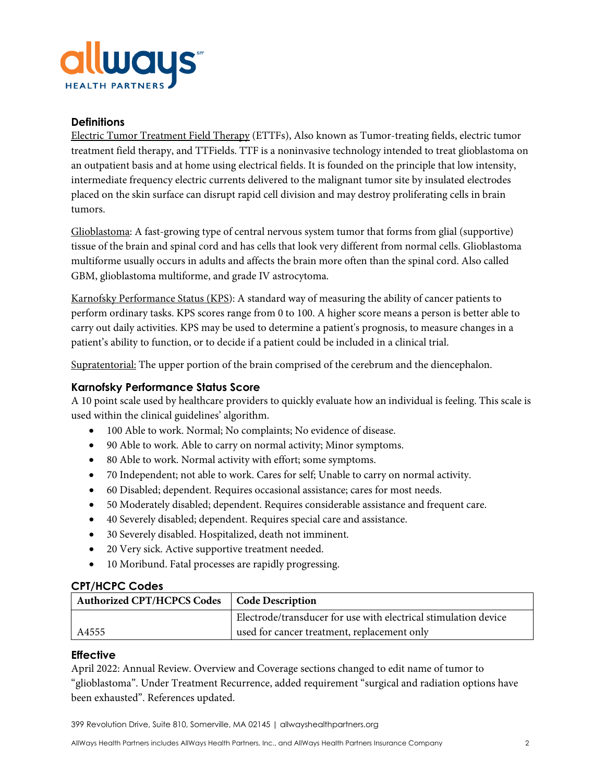

### **Definitions**

Electric Tumor Treatment Field Therapy (ETTFs), Also known as Tumor-treating fields, electric tumor treatment field therapy, and TTFields. TTF is a noninvasive technology intended to treat glioblastoma on an outpatient basis and at home using electrical fields. It is founded on the principle that low intensity, intermediate frequency electric currents delivered to the malignant tumor site by insulated electrodes placed on the skin surface can disrupt rapid cell division and may destroy proliferating cells in brain tumors.

Glioblastoma: A fast-growing type of central nervous system tumor that forms from glial (supportive) tissue of the brain and spinal cord and has cells that look very different from normal cells. Glioblastoma multiforme usually occurs in adults and affects the brain more often than the spinal cord. Also called GBM, glioblastoma multiforme, and grade IV astrocytoma.

Karnofsky Performance Status (KPS): A standard way of measuring the ability of cancer patients to perform ordinary tasks. KPS scores range from 0 to 100. A higher score means a person is better able to carry out daily activities. KPS may be used to determine a patient's prognosis, to measure changes in a patient's ability to function, or to decide if a patient could be included in a clinical trial.

Supratentorial: The upper portion of the brain comprised of the cerebrum and the diencephalon.

# **Karnofsky Performance Status Score**

A 10 point scale used by healthcare providers to quickly evaluate how an individual is feeling. This scale is used within the clinical guidelines' algorithm.

- 100 Able to work. Normal; No complaints; No evidence of disease.
- 90 Able to work. Able to carry on normal activity; Minor symptoms.
- 80 Able to work. Normal activity with effort; some symptoms.
- 70 Independent; not able to work. Cares for self; Unable to carry on normal activity.
- 60 Disabled; dependent. Requires occasional assistance; cares for most needs.
- 50 Moderately disabled; dependent. Requires considerable assistance and frequent care.
- 40 Severely disabled; dependent. Requires special care and assistance.
- 30 Severely disabled. Hospitalized, death not imminent.
- 20 Very sick. Active supportive treatment needed.
- 10 Moribund. Fatal processes are rapidly progressing.

# **CPT/HCPC Codes**

| <b>Authorized CPT/HCPCS Codes</b> | <b>Code Description</b>                                         |  |
|-----------------------------------|-----------------------------------------------------------------|--|
|                                   | Electrode/transducer for use with electrical stimulation device |  |
| A4555                             | used for cancer treatment, replacement only                     |  |

# **Effective**

April 2022: Annual Review. Overview and Coverage sections changed to edit name of tumor to "glioblastoma". Under Treatment Recurrence, added requirement "surgical and radiation options have been exhausted". References updated.

399 Revolution Drive, Suite 810, Somerville, MA 02145 | allwayshealthpartners.org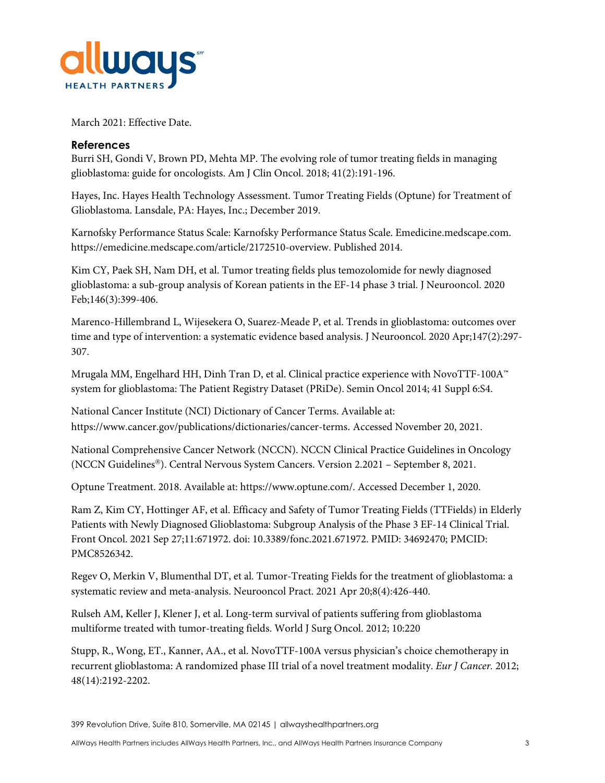

March 2021: Effective Date.

### **References**

Burri SH, Gondi V, Brown PD, Mehta MP. The evolving role of tumor treating fields in managing glioblastoma: guide for oncologists. Am J Clin Oncol. 2018; 41(2):191-196.

Hayes, Inc. Hayes Health Technology Assessment. Tumor Treating Fields (Optune) for Treatment of Glioblastoma. Lansdale, PA: Hayes, Inc.; December 2019.

Karnofsky Performance Status Scale: Karnofsky Performance Status Scale. Emedicine.medscape.com. https://emedicine.medscape.com/article/2172510-overview. Published 2014.

Kim CY, Paek SH, Nam DH, et al. Tumor treating fields plus temozolomide for newly diagnosed glioblastoma: a sub-group analysis of Korean patients in the EF-14 phase 3 trial. J Neurooncol. 2020 Feb;146(3):399-406.

Marenco-Hillembrand L, Wijesekera O, Suarez-Meade P, et al. Trends in glioblastoma: outcomes over time and type of intervention: a systematic evidence based analysis. J Neurooncol. 2020 Apr;147(2):297- 307.

Mrugala MM, Engelhard HH, Dinh Tran D, et al. Clinical practice experience with NovoTTF-100A™ system for glioblastoma: The Patient Registry Dataset (PRiDe). Semin Oncol 2014; 41 Suppl 6:S4.

National Cancer Institute (NCI) Dictionary of Cancer Terms. Available at: https://www.cancer.gov/publications/dictionaries/cancer-terms. Accessed November 20, 2021.

National Comprehensive Cancer Network (NCCN). NCCN Clinical Practice Guidelines in Oncology (NCCN Guidelines). Central Nervous System Cancers. Version 2.2021 – September 8, 2021.

Optune Treatment. 2018. Available at: https://www.optune.com/. Accessed December 1, 2020.

Ram Z, Kim CY, Hottinger AF, et al. Efficacy and Safety of Tumor Treating Fields (TTFields) in Elderly Patients with Newly Diagnosed Glioblastoma: Subgroup Analysis of the Phase 3 EF-14 Clinical Trial. Front Oncol. 2021 Sep 27;11:671972. doi: 10.3389/fonc.2021.671972. PMID: 34692470; PMCID: PMC8526342.

Regev O, Merkin V, Blumenthal DT, et al. Tumor-Treating Fields for the treatment of glioblastoma: a systematic review and meta-analysis. Neurooncol Pract. 2021 Apr 20;8(4):426-440.

Rulseh AM, Keller J, Klener J, et al. Long-term survival of patients suffering from glioblastoma multiforme treated with tumor-treating fields. World J Surg Oncol. 2012; 10:220

Stupp, R., Wong, ET., Kanner, AA., et al. NovoTTF-100A versus physician's choice chemotherapy in recurrent glioblastoma: A randomized phase III trial of a novel treatment modality. *Eur J Cancer.* 2012; 48(14):2192-2202.

<sup>399</sup> Revolution Drive, Suite 810, Somerville, MA 02145 | allwayshealthpartners.org